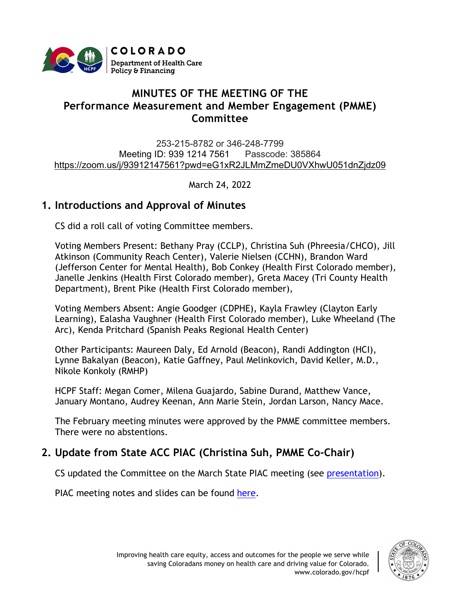

# **MINUTES OF THE MEETING OF THE Performance Measurement and Member Engagement (PMME) Committee**

253-215-8782 or 346-248-7799 Meeting ID: 939 1214 7561 Passcode: 385864 [https://zoom.us/j/93912147561?pwd=eG1xR2JLMmZmeDU0VXhwU051dnZjdz09](https://urldefense.proofpoint.com/v2/url?u=https-3A__www.google.com_url-3Fq-3Dhttps-253A-252F-252Fzoom.us-252Fj-252F93912147561-253Fpwd-253DeG1xR2JLMmZmeDU0VXhwU051dnZjdz09-26sa-3DD-26ust-3D1616530236370000-26usg-3DAOvVaw2pBOHmp3kVX1RmT87UJo0h&d=DwMFaQ&c=sdnEM9SRGFuMt5z5w3AhsPNahmNicq64TgF1JwNR0cs&r=XWoW260UwlojDCSAAnCqRfzrOLFbHxFVx9ZWew2lkos&m=gKyuBSmgRDJ6jxp0dfm5SYf1S_bKcrF8OvgCKwLVieo&s=ts5VsXoiEWnrRji4C9UDtnQYAgBWW4W-PixaYiXvtzw&e=)

March 24, 2022

## **1. Introductions and Approval of Minutes**

CS did a roll call of voting Committee members.

Voting Members Present: Bethany Pray (CCLP), Christina Suh (Phreesia/CHCO), Jill Atkinson (Community Reach Center), Valerie Nielsen (CCHN), Brandon Ward (Jefferson Center for Mental Health), Bob Conkey (Health First Colorado member), Janelle Jenkins (Health First Colorado member), Greta Macey (Tri County Health Department), Brent Pike (Health First Colorado member),

Voting Members Absent: Angie Goodger (CDPHE), Kayla Frawley (Clayton Early Learning), Ealasha Vaughner (Health First Colorado member), Luke Wheeland (The Arc), Kenda Pritchard (Spanish Peaks Regional Health Center)

Other Participants: Maureen Daly, Ed Arnold (Beacon), Randi Addington (HCI), Lynne Bakalyan (Beacon), Katie Gaffney, Paul Melinkovich, David Keller, M.D., Nikole Konkoly (RMHP)

HCPF Staff: Megan Comer, Milena Guajardo, Sabine Durand, Matthew Vance, January Montano, Audrey Keenan, Ann Marie Stein, Jordan Larson, Nancy Mace.

The [February](https://hcpf.colorado.gov/sites/hcpf/files/Performance%20Measurement%20and%20Member%20Engagement%20PIAC%20Sucbommittee%20Draft%20Minutes%20January%202022.pdf) meeting minutes were approved by the PMME committee members. There were no abstentions.

## **2. Update from State ACC PIAC (Christina Suh, PMME Co-Chair)**

CS updated the Committee on the March State PIAC meeting (see [presentation\)](https://hcpf.colorado.gov/sites/hcpf/files/Performance%20Measurement%20and%20Member%20Engagement%20PIAC%20Subcommittee%20Presentation%20March%202022.pdf).

PIAC meeting notes and slides can be found [here.](https://hcpf.colorado.gov/accountable-care-collaborative-program-improvement-advisory-committee)

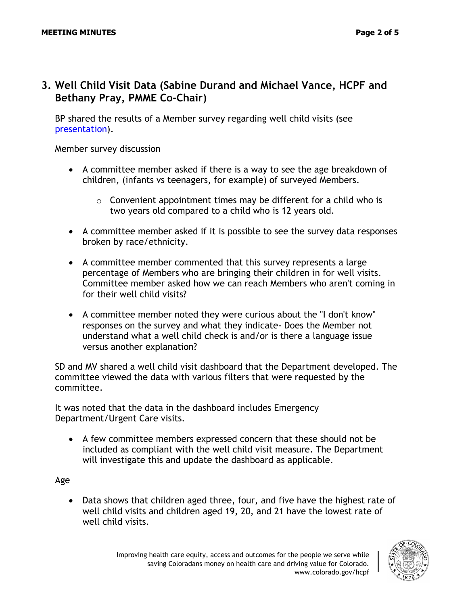## **3. Well Child Visit Data (Sabine Durand and Michael Vance, HCPF and Bethany Pray, PMME Co-Chair)**

BP shared the results of a Member survey regarding well child visits (see [presentation\)](https://hcpf.colorado.gov/sites/hcpf/files/Performance%20Measurement%20and%20Member%20Engagement%20PIAC%20Subcommittee%20Presentation%20March%202022.pdf).

Member survey discussion

- A committee member asked if there is a way to see the age breakdown of children, (infants vs teenagers, for example) of surveyed Members.
	- $\circ$  Convenient appointment times may be different for a child who is two years old compared to a child who is 12 years old.
- A committee member asked if it is possible to see the survey data responses broken by race/ethnicity.
- A committee member commented that this survey represents a large percentage of Members who are bringing their children in for well visits. Committee member asked how we can reach Members who aren't coming in for their well child visits?
- A committee member noted they were curious about the "I don't know" responses on the survey and what they indicate- Does the Member not understand what a well child check is and/or is there a language issue versus another explanation?

SD and MV shared a well child visit dashboard that the Department developed. The committee viewed the data with various filters that were requested by the committee.

It was noted that the data in the dashboard includes Emergency Department/Urgent Care visits.

• A few committee members expressed concern that these should not be included as compliant with the well child visit measure. The Department will investigate this and update the dashboard as applicable.

Age

• Data shows that children aged three, four, and five have the highest rate of well child visits and children aged 19, 20, and 21 have the lowest rate of well child visits.

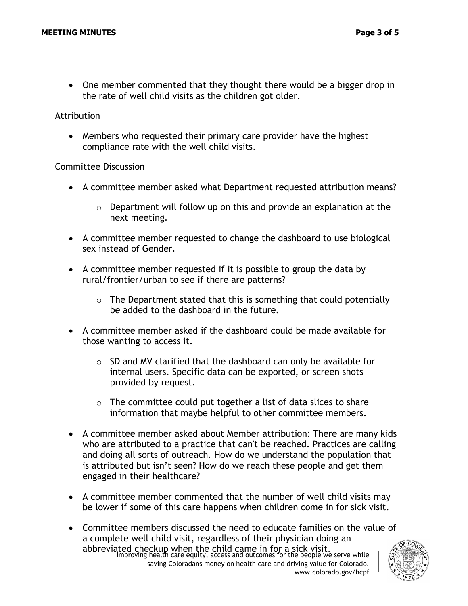• One member commented that they thought there would be a bigger drop in the rate of well child visits as the children got older.

#### Attribution

• Members who requested their primary care provider have the highest compliance rate with the well child visits.

#### Committee Discussion

- A committee member asked what Department requested attribution means?
	- $\circ$  Department will follow up on this and provide an explanation at the next meeting.
- A committee member requested to change the dashboard to use biological sex instead of Gender.
- A committee member requested if it is possible to group the data by rural/frontier/urban to see if there are patterns?
	- $\circ$  The Department stated that this is something that could potentially be added to the dashboard in the future.
- A committee member asked if the dashboard could be made available for those wanting to access it.
	- $\circ$  SD and MV clarified that the dashboard can only be available for internal users. Specific data can be exported, or screen shots provided by request.
	- o The committee could put together a list of data slices to share information that maybe helpful to other committee members.
- A committee member asked about Member attribution: There are many kids who are attributed to a practice that can't be reached. Practices are calling and doing all sorts of outreach. How do we understand the population that is attributed but isn't seen? How do we reach these people and get them engaged in their healthcare?
- A committee member commented that the number of well child visits may be lower if some of this care happens when children come in for sick visit.
- abbreviated checkup when the child came in for a sick visit.<br>Improving health care equity, access and outcomes for the people we serve while saving Coloradans money on health care and driving value for Colorado. www.colorado.gov/hcpf • Committee members discussed the need to educate families on the value of a complete well child visit, regardless of their physician doing an

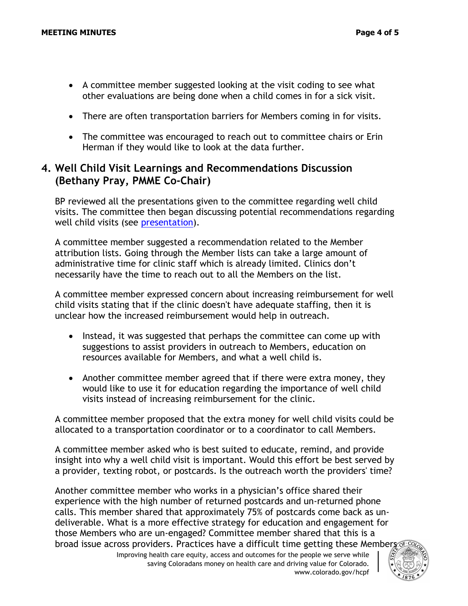- A committee member suggested looking at the visit coding to see what other evaluations are being done when a child comes in for a sick visit.
- There are often transportation barriers for Members coming in for visits.
- The committee was encouraged to reach out to committee chairs or Erin Herman if they would like to look at the data further.

### **4. Well Child Visit Learnings and Recommendations Discussion (Bethany Pray, PMME Co-Chair)**

BP reviewed all the presentations given to the committee regarding well child visits. The committee then began discussing potential recommendations regarding well child visits (see [presentation\)](https://hcpf.colorado.gov/sites/hcpf/files/Performance%20Measurement%20and%20Member%20Engagement%20PIAC%20Sucbommittee%20Health%20Equity%20Strategic%20Plan%20Status%20Update%20Presentation%20February%202022.pdf).

A committee member suggested a recommendation related to the Member attribution lists. Going through the Member lists can take a large amount of administrative time for clinic staff which is already limited. Clinics don't necessarily have the time to reach out to all the Members on the list.

A committee member expressed concern about increasing reimbursement for well child visits stating that if the clinic doesn't have adequate staffing, then it is unclear how the increased reimbursement would help in outreach.

- Instead, it was suggested that perhaps the committee can come up with suggestions to assist providers in outreach to Members, education on resources available for Members, and what a well child is.
- Another committee member agreed that if there were extra money, they would like to use it for education regarding the importance of well child visits instead of increasing reimbursement for the clinic.

A committee member proposed that the extra money for well child visits could be allocated to a transportation coordinator or to a coordinator to call Members.

A committee member asked who is best suited to educate, remind, and provide insight into why a well child visit is important. Would this effort be best served by a provider, texting robot, or postcards. Is the outreach worth the providers' time?

Another committee member who works in a physician's office shared their experience with the high number of returned postcards and un-returned phone calls. This member shared that approximately 75% of postcards come back as undeliverable. What is a more effective strategy for education and engagement for those Members who are un-engaged? Committee member shared that this is a broad issue across providers. Practices have a difficult time getting these Members

Improving health care equity, access and outcomes for the people we serve while saving Coloradans money on health care and driving value for Colorado. www.colorado.gov/hcpf